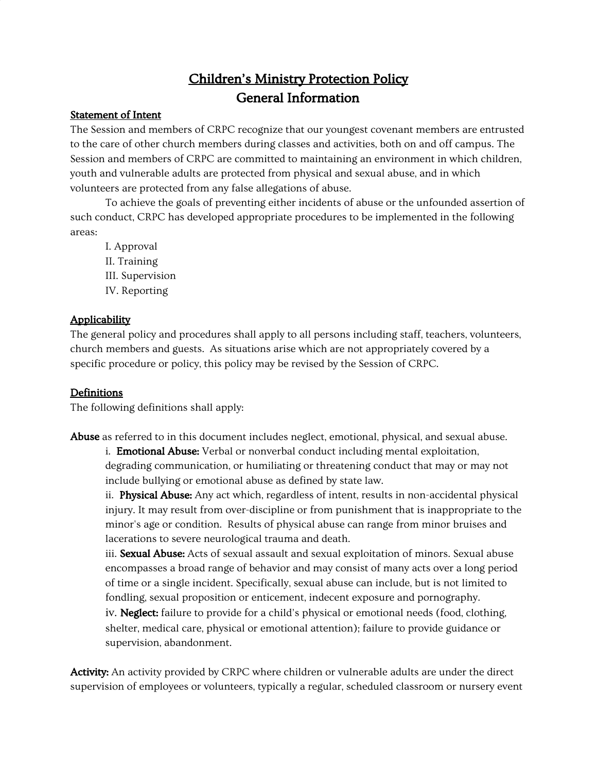## Children's Ministry Protection Policy General Information

#### Statement of Intent

The Session and members of CRPC recognize that our youngest covenant members are entrusted to the care of other church members during classes and activities, both on and off campus. The Session and members of CRPC are committed to maintaining an environment in which children, youth and vulnerable adults are protected from physical and sexual abuse, and in which volunteers are protected from any false allegations of abuse.

To achieve the goals of preventing either incidents of abuse or the unfounded assertion of such conduct, CRPC has developed appropriate procedures to be implemented in the following areas:

I. Approval II. Training III. Supervision IV. Reporting

#### Applicability

The general policy and procedures shall apply to all persons including staff, teachers, volunteers, church members and guests. As situations arise which are not appropriately covered by a specific procedure or policy, this policy may be revised by the Session of CRPC.

#### Definitions

The following definitions shall apply:

Abuse as referred to in this document includes neglect, emotional, physical, and sexual abuse.

i. **Emotional Abuse:** Verbal or nonverbal conduct including mental exploitation, degrading communication, or humiliating or threatening conduct that may or may not include bullying or emotional abuse as defined by state law.

ii. **Physical Abuse:** Any act which, regardless of intent, results in non-accidental physical injury. It may result from over-discipline or from punishment that is inappropriate to the minor's age or condition. Results of physical abuse can range from minor bruises and lacerations to severe neurological trauma and death.

iii. Sexual Abuse: Acts of sexual assault and sexual exploitation of minors. Sexual abuse encompasses a broad range of behavior and may consist of many acts over a long period of time or a single incident. Specifically, sexual abuse can include, but is not limited to fondling, sexual proposition or enticement, indecent exposure and pornography.

iv. **Neglect**: failure to provide for a child's physical or emotional needs (food, clothing, shelter, medical care, physical or emotional attention); failure to provide guidance or supervision, abandonment.

Activity: An activity provided by CRPC where children or vulnerable adults are under the direct supervision of employees or volunteers, typically a regular, scheduled classroom or nursery event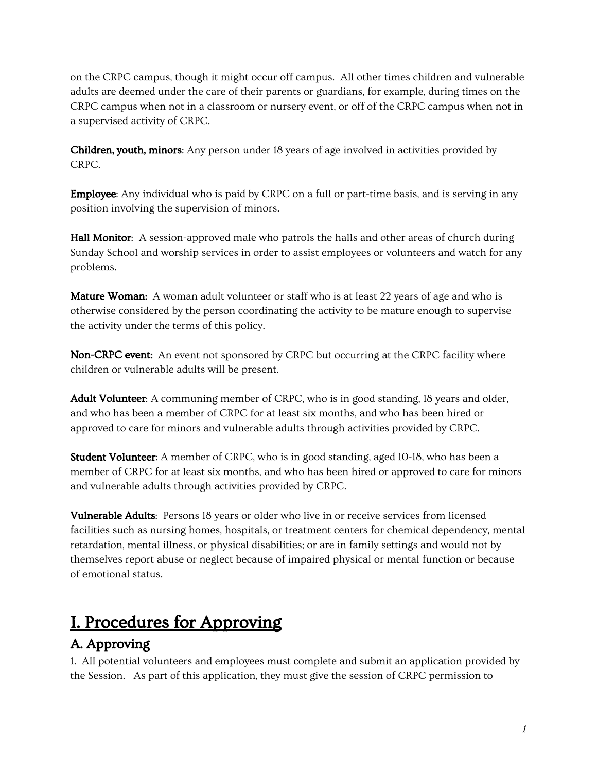on the CRPC campus, though it might occur off campus. All other times children and vulnerable adults are deemed under the care of their parents or guardians, for example, during times on the CRPC campus when not in a classroom or nursery event, or off of the CRPC campus when not in a supervised activity of CRPC.

Children, youth, minors: Any person under 18 years of age involved in activities provided by CRPC.

Employee: Any individual who is paid by CRPC on a full or part-time basis, and is serving in any position involving the supervision of minors.

Hall Monitor: A session-approved male who patrols the halls and other areas of church during Sunday School and worship services in order to assist employees or volunteers and watch for any problems.

**Mature Woman:** A woman adult volunteer or staff who is at least 22 years of age and who is otherwise considered by the person coordinating the activity to be mature enough to supervise the activity under the terms of this policy.

Non-CRPC event: An event not sponsored by CRPC but occurring at the CRPC facility where children or vulnerable adults will be present.

Adult Volunteer: A communing member of CRPC, who is in good standing, 18 years and older, and who has been a member of CRPC for at least six months, and who has been hired or approved to care for minors and vulnerable adults through activities provided by CRPC.

Student Volunteer: A member of CRPC, who is in good standing, aged 10-18, who has been a member of CRPC for at least six months, and who has been hired or approved to care for minors and vulnerable adults through activities provided by CRPC.

Vulnerable Adults: Persons 18 years or older who live in or receive services from licensed facilities such as nursing homes, hospitals, or treatment centers for chemical dependency, mental retardation, mental illness, or physical disabilities; or are in family settings and would not by themselves report abuse or neglect because of impaired physical or mental function or because of emotional status.

# I. Procedures for Approving

## A. Approving

1. All potential volunteers and employees must complete and submit an application provided by the Session. As part of this application, they must give the session of CRPC permission to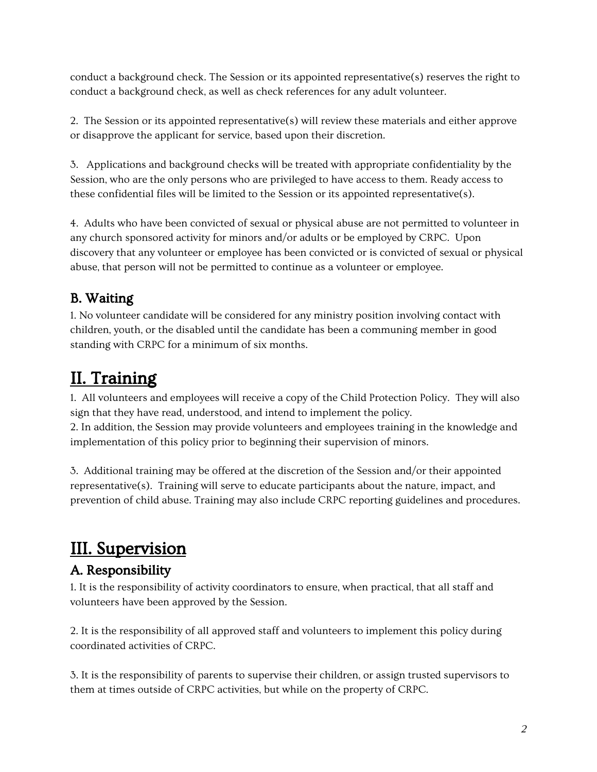conduct a background check. The Session or its appointed representative(s) reserves the right to conduct a background check, as well as check references for any adult volunteer.

2. The Session or its appointed representative(s) will review these materials and either approve or disapprove the applicant for service, based upon their discretion.

3. Applications and background checks will be treated with appropriate confidentiality by the Session, who are the only persons who are privileged to have access to them. Ready access to these confidential files will be limited to the Session or its appointed representative(s).

4. Adults who have been convicted of sexual or physical abuse are not permitted to volunteer in any church sponsored activity for minors and/or adults or be employed by CRPC. Upon discovery that any volunteer or employee has been convicted or is convicted of sexual or physical abuse, that person will not be permitted to continue as a volunteer or employee.

## B. Waiting

1. No volunteer candidate will be considered for any ministry position involving contact with children, youth, or the disabled until the candidate has been a communing member in good standing with CRPC for a minimum of six months.

# II. Training

1. All volunteers and employees will receive a copy of the Child Protection Policy. They will also sign that they have read, understood, and intend to implement the policy.

2. In addition, the Session may provide volunteers and employees training in the knowledge and implementation of this policy prior to beginning their supervision of minors.

3. Additional training may be offered at the discretion of the Session and/or their appointed representative(s). Training will serve to educate participants about the nature, impact, and prevention of child abuse. Training may also include CRPC reporting guidelines and procedures.

# III. Supervision

## A. Responsibility

1. It is the responsibility of activity coordinators to ensure, when practical, that all staff and volunteers have been approved by the Session.

2. It is the responsibility of all approved staff and volunteers to implement this policy during coordinated activities of CRPC.

3. It is the responsibility of parents to supervise their children, or assign trusted supervisors to them at times outside of CRPC activities, but while on the property of CRPC.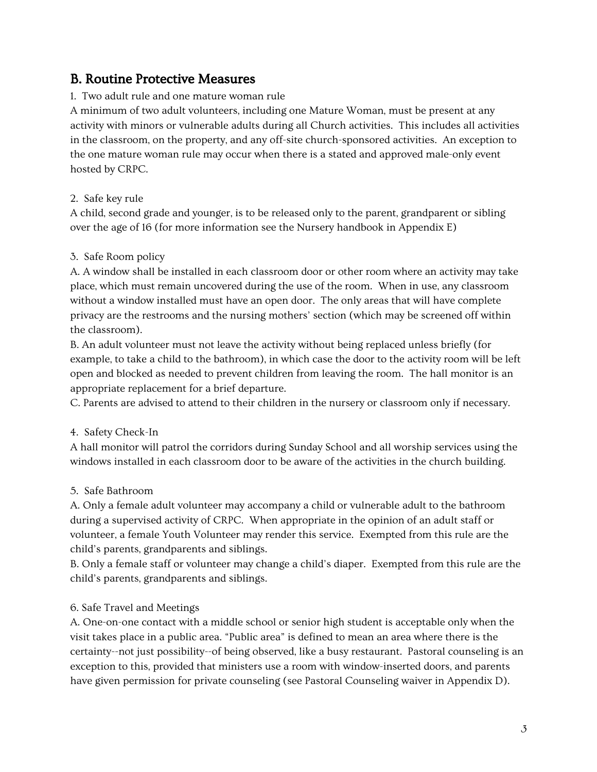### B. Routine Protective Measures

#### 1. Two adult rule and one mature woman rule

A minimum of two adult volunteers, including one Mature Woman, must be present at any activity with minors or vulnerable adults during all Church activities. This includes all activities in the classroom, on the property, and any off-site church-sponsored activities. An exception to the one mature woman rule may occur when there is a stated and approved male-only event hosted by CRPC.

#### 2. Safe key rule

A child, second grade and younger, is to be released only to the parent, grandparent or sibling over the age of 16 (for more information see the Nursery handbook in Appendix E)

#### 3. Safe Room policy

A. A window shall be installed in each classroom door or other room where an activity may take place, which must remain uncovered during the use of the room. When in use, any classroom without a window installed must have an open door. The only areas that will have complete privacy are the restrooms and the nursing mothers' section (which may be screened off within the classroom).

B. An adult volunteer must not leave the activity without being replaced unless briefly (for example, to take a child to the bathroom), in which case the door to the activity room will be left open and blocked as needed to prevent children from leaving the room. The hall monitor is an appropriate replacement for a brief departure.

C. Parents are advised to attend to their children in the nursery or classroom only if necessary.

#### 4. Safety Check-In

A hall monitor will patrol the corridors during Sunday School and all worship services using the windows installed in each classroom door to be aware of the activities in the church building.

#### 5. Safe Bathroom

A. Only a female adult volunteer may accompany a child or vulnerable adult to the bathroom during a supervised activity of CRPC. When appropriate in the opinion of an adult staff or volunteer, a female Youth Volunteer may render this service. Exempted from this rule are the child's parents, grandparents and siblings.

B. Only a female staff or volunteer may change a child's diaper. Exempted from this rule are the child's parents, grandparents and siblings.

#### 6. Safe Travel and Meetings

A. One-on-one contact with a middle school or senior high student is acceptable only when the visit takes place in a public area. "Public area" is defined to mean an area where there is the certainty--not just possibility--of being observed, like a busy restaurant. Pastoral counseling is an exception to this, provided that ministers use a room with window-inserted doors, and parents have given permission for private counseling (see Pastoral Counseling waiver in Appendix D).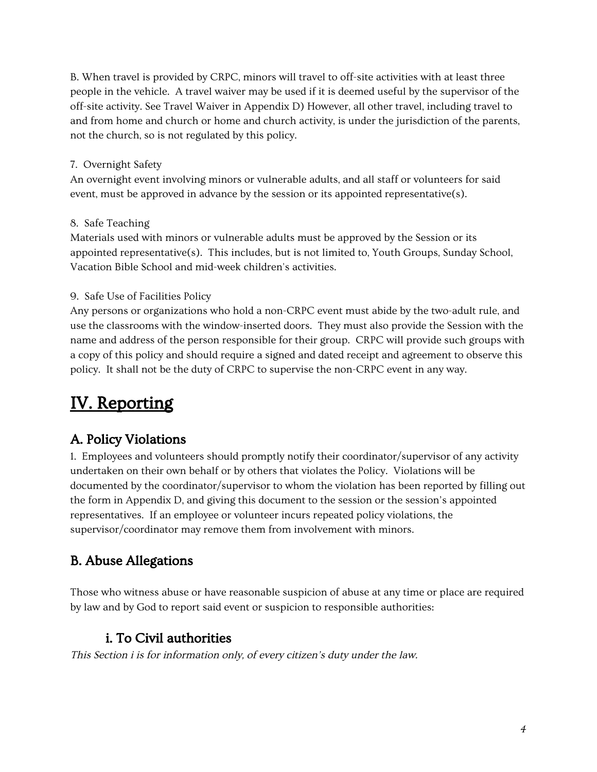B. When travel is provided by CRPC, minors will travel to off-site activities with at least three people in the vehicle. A travel waiver may be used if it is deemed useful by the supervisor of the off-site activity. See Travel Waiver in Appendix D) However, all other travel, including travel to and from home and church or home and church activity, is under the jurisdiction of the parents, not the church, so is not regulated by this policy.

#### 7. Overnight Safety

An overnight event involving minors or vulnerable adults, and all staff or volunteers for said event, must be approved in advance by the session or its appointed representative(s).

#### 8. Safe Teaching

Materials used with minors or vulnerable adults must be approved by the Session or its appointed representative(s). This includes, but is not limited to, Youth Groups, Sunday School, Vacation Bible School and mid-week children's activities.

#### 9. Safe Use of Facilities Policy

Any persons or organizations who hold a non-CRPC event must abide by the two-adult rule, and use the classrooms with the window-inserted doors. They must also provide the Session with the name and address of the person responsible for their group. CRPC will provide such groups with a copy of this policy and should require a signed and dated receipt and agreement to observe this policy. It shall not be the duty of CRPC to supervise the non-CRPC event in any way.

## IV. Reporting

## A. Policy Violations

1. Employees and volunteers should promptly notify their coordinator/supervisor of any activity undertaken on their own behalf or by others that violates the Policy. Violations will be documented by the coordinator/supervisor to whom the violation has been reported by filling out the form in Appendix D, and giving this document to the session or the session's appointed representatives. If an employee or volunteer incurs repeated policy violations, the supervisor/coordinator may remove them from involvement with minors.

## B. Abuse Allegations

Those who witness abuse or have reasonable suspicion of abuse at any time or place are required by law and by God to report said event or suspicion to responsible authorities:

## i. To Civil authorities

This Section <sup>i</sup> is for information only, of every citizen's duty under the law.